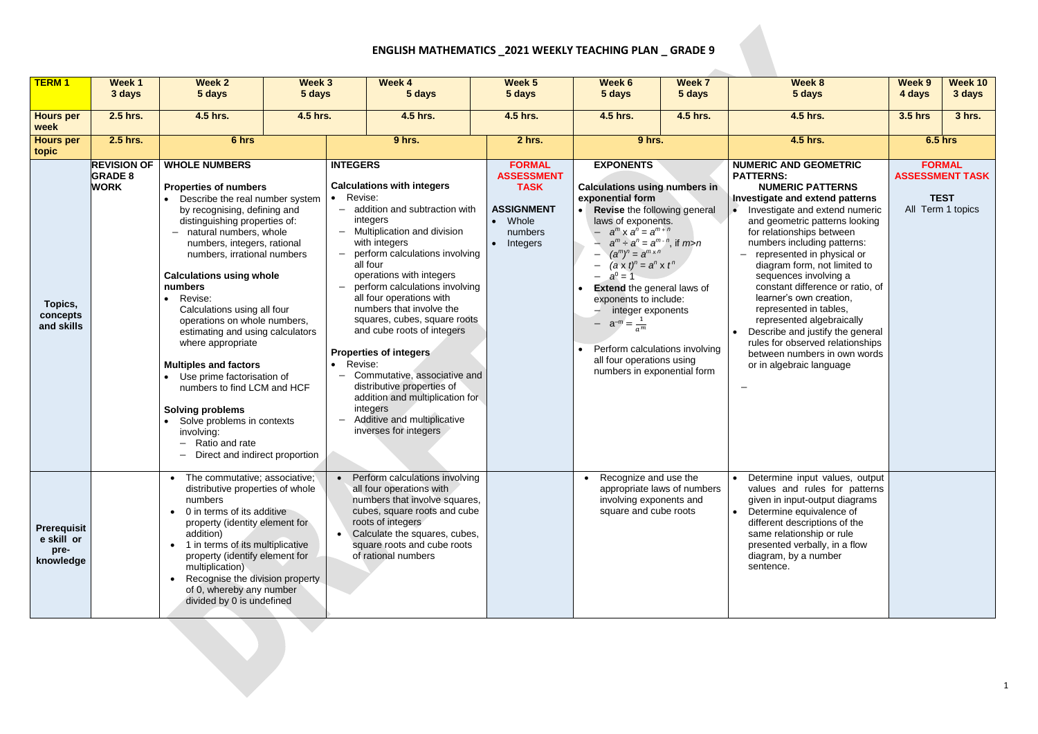## **ENGLISH MATHEMATICS \_2021 WEEKLY TEACHING PLAN \_ GRADE 9**

 $\sim$ 

| <b>TERM1</b>                                          | Week 1<br>3 days                                    | <b>Week 2</b><br>5 days                                                                                                                                                                                                                                                                                                                                                                                                                                                                                                                                                                                                                                                                 | Week 3<br>5 days |                                                                                                                                                                                                                                                                                                                                                                                                                                                                                                                                                                                                                                          | Week 4<br>5 days                                                          | Week 5<br>5 days                                                                                       | Week 6<br>5 days                                                                                                                                                                                                                                                                                                                                                                                                                                                                                             | <b>Week 7</b><br>5 days | Week 8<br>5 days                                                                                                                                                                                                                                                                                                                                                                                                                                                                                                                                                                                             | <b>Week 9</b><br>4 days                                                     | <b>Week 10</b><br>3 days |
|-------------------------------------------------------|-----------------------------------------------------|-----------------------------------------------------------------------------------------------------------------------------------------------------------------------------------------------------------------------------------------------------------------------------------------------------------------------------------------------------------------------------------------------------------------------------------------------------------------------------------------------------------------------------------------------------------------------------------------------------------------------------------------------------------------------------------------|------------------|------------------------------------------------------------------------------------------------------------------------------------------------------------------------------------------------------------------------------------------------------------------------------------------------------------------------------------------------------------------------------------------------------------------------------------------------------------------------------------------------------------------------------------------------------------------------------------------------------------------------------------------|---------------------------------------------------------------------------|--------------------------------------------------------------------------------------------------------|--------------------------------------------------------------------------------------------------------------------------------------------------------------------------------------------------------------------------------------------------------------------------------------------------------------------------------------------------------------------------------------------------------------------------------------------------------------------------------------------------------------|-------------------------|--------------------------------------------------------------------------------------------------------------------------------------------------------------------------------------------------------------------------------------------------------------------------------------------------------------------------------------------------------------------------------------------------------------------------------------------------------------------------------------------------------------------------------------------------------------------------------------------------------------|-----------------------------------------------------------------------------|--------------------------|
| <b>Hours per</b><br>week                              | 2.5 hrs.                                            | 4.5 hrs.                                                                                                                                                                                                                                                                                                                                                                                                                                                                                                                                                                                                                                                                                | 4.5 hrs.         | 4.5 hrs.                                                                                                                                                                                                                                                                                                                                                                                                                                                                                                                                                                                                                                 |                                                                           | 4.5 hrs.                                                                                               | 4.5 hrs.<br>4.5 hrs.                                                                                                                                                                                                                                                                                                                                                                                                                                                                                         |                         | 4.5 hrs.                                                                                                                                                                                                                                                                                                                                                                                                                                                                                                                                                                                                     | <b>3.5 hrs</b>                                                              | 3 hrs.                   |
| <b>Hours per</b><br>topic                             | 2.5 hrs.                                            | 6 hrs                                                                                                                                                                                                                                                                                                                                                                                                                                                                                                                                                                                                                                                                                   |                  | 9 hrs.                                                                                                                                                                                                                                                                                                                                                                                                                                                                                                                                                                                                                                   |                                                                           | 2 hrs.                                                                                                 | 9 hrs.                                                                                                                                                                                                                                                                                                                                                                                                                                                                                                       |                         | 4.5 hrs.                                                                                                                                                                                                                                                                                                                                                                                                                                                                                                                                                                                                     | <b>6.5 hrs</b>                                                              |                          |
| Topics,<br>concepts<br>and skills                     | <b>REVISION OF</b><br><b>GRADE 8</b><br><b>WORK</b> | <b>WHOLE NUMBERS</b><br><b>Properties of numbers</b><br>Describe the real number system<br>$\bullet$<br>by recognising, defining and<br>distinguishing properties of:<br>- natural numbers, whole<br>numbers, integers, rational<br>numbers, irrational numbers<br><b>Calculations using whole</b><br>numbers<br>Revise:<br>$\bullet$<br>Calculations using all four<br>operations on whole numbers,<br>estimating and using calculators<br>where appropriate<br><b>Multiples and factors</b><br>• Use prime factorisation of<br>numbers to find LCM and HCF<br><b>Solving problems</b><br>Solve problems in contexts<br>involving:<br>Ratio and rate<br>Direct and indirect proportion |                  | <b>INTEGERS</b><br><b>Calculations with integers</b><br>Revise:<br>$-$ addition and subtraction with<br>integers<br>- Multiplication and division<br>with integers<br>$-$ perform calculations involving<br>all four<br>operations with integers<br>perform calculations involving<br>all four operations with<br>numbers that involve the<br>squares, cubes, square roots<br>and cube roots of integers<br><b>Properties of integers</b><br>Revise:<br>$\bullet$<br>- Commutative, associative and<br>distributive properties of<br>addition and multiplication for<br>integers<br>Additive and multiplicative<br>inverses for integers |                                                                           | <b>FORMAL</b><br><b>ASSESSMENT</b><br><b>TASK</b><br><b>ASSIGNMENT</b><br>Whole<br>numbers<br>Integers | <b>EXPONENTS</b><br><b>Calculations using numbers in</b><br>exponential form<br>Revise the following general<br>$\bullet$<br>laws of exponents.<br>$a^m$ x $a^n = a^{m+n}$<br>$a^m \div a^n = a^{m-n}$ , if $m>n$<br>$(a^m)^n = a^{m \times n}$<br>$(a \times t)^n = a^n \times t^n$<br>$a^0 = 1$<br><b>Extend the general laws of</b><br>exponents to include:<br>integer exponents<br>$a^{-m} = \frac{1}{2}$<br>Perform calculations involving<br>all four operations using<br>numbers in exponential form |                         | <b>NUMERIC AND GEOMETRIC</b><br><b>PATTERNS:</b><br><b>NUMERIC PATTERNS</b><br>Investigate and extend patterns<br>Investigate and extend numeric<br>and geometric patterns looking<br>for relationships between<br>numbers including patterns:<br>represented in physical or<br>diagram form, not limited to<br>sequences involving a<br>constant difference or ratio, of<br>learner's own creation,<br>represented in tables,<br>represented algebraically<br>Describe and justify the general<br>$\bullet$<br>rules for observed relationships<br>between numbers in own words<br>or in algebraic language | <b>FORMAL</b><br><b>ASSESSMENT TASK</b><br><b>TEST</b><br>All Term 1 topics |                          |
| <b>Prerequisit</b><br>e skill or<br>pre-<br>knowledge |                                                     | • The commutative; associative;<br>• Perform calculations involving<br>distributive properties of whole<br>all four operations with<br>numbers that involve squares,<br>numbers<br>cubes, square roots and cube<br>0 in terms of its additive<br>roots of integers<br>property (identity element for<br>Calculate the squares, cubes,<br>addition)<br>square roots and cube roots<br>1 in terms of its multiplicative<br>$\bullet$<br>of rational numbers<br>property (identify element for<br>multiplication)<br>Recognise the division property<br>of 0, whereby any number<br>divided by 0 is undefined                                                                              |                  |                                                                                                                                                                                                                                                                                                                                                                                                                                                                                                                                                                                                                                          | Recognize and use the<br>involving exponents and<br>square and cube roots | appropriate laws of numbers                                                                            | Determine input values, output<br>values and rules for patterns<br>given in input-output diagrams<br>Determine equivalence of<br>$\bullet$<br>different descriptions of the<br>same relationship or rule<br>presented verbally, in a flow<br>diagram, by a number<br>sentence.                                                                                                                                                                                                                               |                         |                                                                                                                                                                                                                                                                                                                                                                                                                                                                                                                                                                                                              |                                                                             |                          |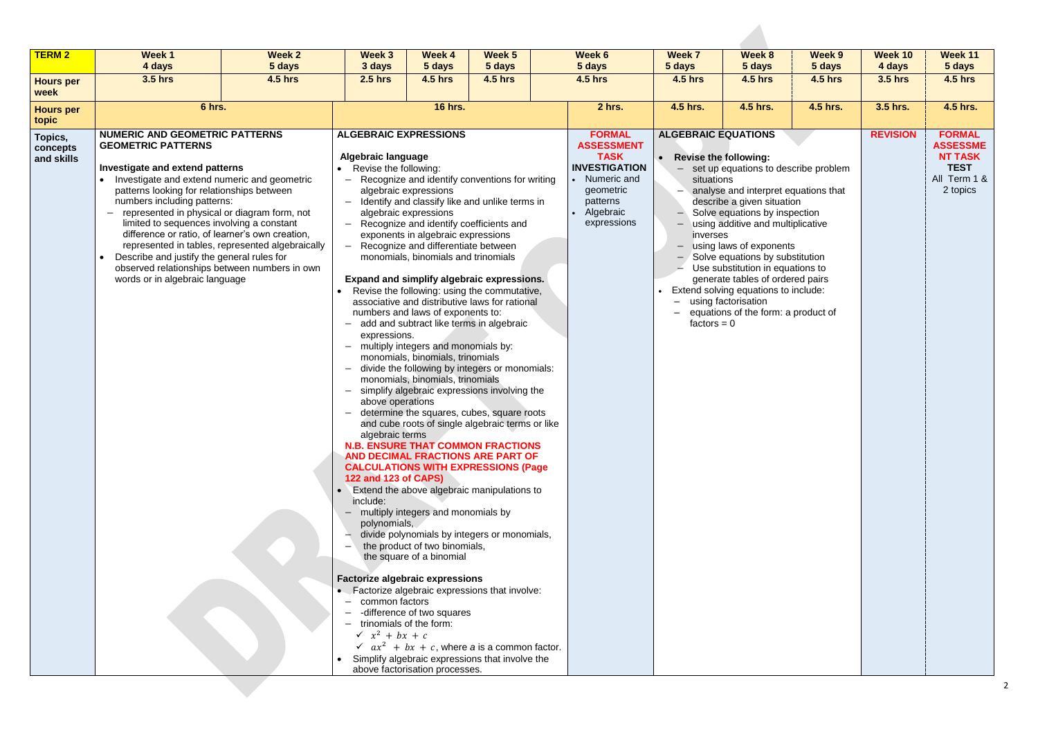| <b>TERM 2</b>                     | Week 1<br>4 days                                                                                                                                                                                                                                                                                                                                                                                                                                                                                                    | <b>Week 2</b><br>5 days                          | Week 3<br>3 days                                                                                                                                                                                                                                                                                                                                                                                                                                                                                        | <b>Week 4</b><br>5 days                                                                                                                                                                                                                                                                                                                                                                                      | Week 5<br>5 days                                                                                                                                                                                                                                                                                                                                                                                                                                                                                                                                                                                                                                                                                                                                                                                                                                                                                                                 | Week 6<br>5 days                                                                                                                                | <b>Week 7</b><br>5 days                                                                                     | Week 8<br>5 days                                                                                                                                                                                                                                                                                                                                                                                                                       | Week 9<br>5 days | Week 10<br>4 days                                                                             | Week 11<br>5 days |
|-----------------------------------|---------------------------------------------------------------------------------------------------------------------------------------------------------------------------------------------------------------------------------------------------------------------------------------------------------------------------------------------------------------------------------------------------------------------------------------------------------------------------------------------------------------------|--------------------------------------------------|---------------------------------------------------------------------------------------------------------------------------------------------------------------------------------------------------------------------------------------------------------------------------------------------------------------------------------------------------------------------------------------------------------------------------------------------------------------------------------------------------------|--------------------------------------------------------------------------------------------------------------------------------------------------------------------------------------------------------------------------------------------------------------------------------------------------------------------------------------------------------------------------------------------------------------|----------------------------------------------------------------------------------------------------------------------------------------------------------------------------------------------------------------------------------------------------------------------------------------------------------------------------------------------------------------------------------------------------------------------------------------------------------------------------------------------------------------------------------------------------------------------------------------------------------------------------------------------------------------------------------------------------------------------------------------------------------------------------------------------------------------------------------------------------------------------------------------------------------------------------------|-------------------------------------------------------------------------------------------------------------------------------------------------|-------------------------------------------------------------------------------------------------------------|----------------------------------------------------------------------------------------------------------------------------------------------------------------------------------------------------------------------------------------------------------------------------------------------------------------------------------------------------------------------------------------------------------------------------------------|------------------|-----------------------------------------------------------------------------------------------|-------------------|
|                                   | 3.5 hrs                                                                                                                                                                                                                                                                                                                                                                                                                                                                                                             | <b>4.5 hrs</b>                                   | <b>2.5 hrs</b>                                                                                                                                                                                                                                                                                                                                                                                                                                                                                          | <b>4.5 hrs</b>                                                                                                                                                                                                                                                                                                                                                                                               | <b>4.5 hrs</b>                                                                                                                                                                                                                                                                                                                                                                                                                                                                                                                                                                                                                                                                                                                                                                                                                                                                                                                   | <b>4.5 hrs</b>                                                                                                                                  | <b>4.5 hrs</b>                                                                                              | <b>4.5 hrs</b>                                                                                                                                                                                                                                                                                                                                                                                                                         | <b>4.5 hrs</b>   | <b>3.5 hrs</b>                                                                                | <b>4.5 hrs</b>    |
| <b>Hours per</b><br>week          |                                                                                                                                                                                                                                                                                                                                                                                                                                                                                                                     |                                                  |                                                                                                                                                                                                                                                                                                                                                                                                                                                                                                         |                                                                                                                                                                                                                                                                                                                                                                                                              |                                                                                                                                                                                                                                                                                                                                                                                                                                                                                                                                                                                                                                                                                                                                                                                                                                                                                                                                  |                                                                                                                                                 |                                                                                                             |                                                                                                                                                                                                                                                                                                                                                                                                                                        |                  |                                                                                               |                   |
| <b>Hours per</b><br>topic         | 6 hrs.                                                                                                                                                                                                                                                                                                                                                                                                                                                                                                              |                                                  | <b>16 hrs.</b>                                                                                                                                                                                                                                                                                                                                                                                                                                                                                          |                                                                                                                                                                                                                                                                                                                                                                                                              | 2 hrs.                                                                                                                                                                                                                                                                                                                                                                                                                                                                                                                                                                                                                                                                                                                                                                                                                                                                                                                           | 4.5 hrs.                                                                                                                                        | 4.5 hrs.                                                                                                    | 4.5 hrs.                                                                                                                                                                                                                                                                                                                                                                                                                               | 3.5 hrs.         | 4.5 hrs.                                                                                      |                   |
| Topics,<br>concepts<br>and skills | <b>NUMERIC AND GEOMETRIC PATTERNS</b><br><b>GEOMETRIC PATTERNS</b><br>Investigate and extend patterns<br>Investigate and extend numeric and geometric<br>patterns looking for relationships between<br>numbers including patterns:<br>represented in physical or diagram form, not<br>limited to sequences involving a constant<br>difference or ratio, of learner's own creation,<br>Describe and justify the general rules for<br>observed relationships between numbers in own<br>words or in algebraic language | represented in tables, represented algebraically | <b>ALGEBRAIC EXPRESSIONS</b><br><b>Algebraic language</b><br>Revise the following:<br>$\overline{\phantom{0}}$<br>$\overline{\phantom{m}}$<br>$\overline{\phantom{m}}$<br>$\overline{\phantom{m}}$<br>expressions.<br>- multiply integers and monomials by:<br>above operations<br>algebraic terms<br>122 and 123 of CAPS)<br>include:<br>- multiply integers and monomials by<br>polynomials,<br><b>Factorize algebraic expressions</b><br>common factors<br>trinomials of the form:<br>$x^2$ + bx + c | algebraic expressions<br>algebraic expressions<br>exponents in algebraic expressions<br>Recognize and differentiate between<br>monomials, binomials and trinomials<br>numbers and laws of exponents to:<br>monomials, binomials, trinomials<br>monomials, binomials, trinomials<br>the product of two binomials,<br>the square of a binomial<br>-difference of two squares<br>above factorisation processes. | Recognize and identify conventions for writing<br>Identify and classify like and unlike terms in<br>Recognize and identify coefficients and<br>Expand and simplify algebraic expressions.<br>Revise the following: using the commutative,<br>associative and distributive laws for rational<br>add and subtract like terms in algebraic<br>divide the following by integers or monomials:<br>simplify algebraic expressions involving the<br>determine the squares, cubes, square roots<br>and cube roots of single algebraic terms or like<br><b>N.B. ENSURE THAT COMMON FRACTIONS</b><br>AND DECIMAL FRACTIONS ARE PART OF<br><b>CALCULATIONS WITH EXPRESSIONS (Page</b><br>Extend the above algebraic manipulations to<br>divide polynomials by integers or monomials,<br>• Factorize algebraic expressions that involve:<br>$ax^2 + bx + c$ , where a is a common factor.<br>Simplify algebraic expressions that involve the | <b>FORMAL</b><br><b>ASSESSMENT</b><br><b>TASK</b><br><b>INVESTIGATION</b><br>• Numeric and<br>geometric<br>patterns<br>Algebraic<br>expressions | <b>ALGEBRAIC EQUATIONS</b><br><b>Revise the following:</b><br>situations<br>-1<br>inverses<br>$factors = 0$ | - set up equations to describe problem<br>analyse and interpret equations that<br>describe a given situation<br>Solve equations by inspection<br>using additive and multiplicative<br>$-$ using laws of exponents<br>$-$ Solve equations by substitution<br>Use substitution in equations to<br>generate tables of ordered pairs<br>Extend solving equations to include:<br>using factorisation<br>equations of the form: a product of | <b>REVISION</b>  | <b>FORMAL</b><br><b>ASSESSME</b><br><b>NT TASK</b><br><b>TEST</b><br>All Term 1 &<br>2 topics |                   |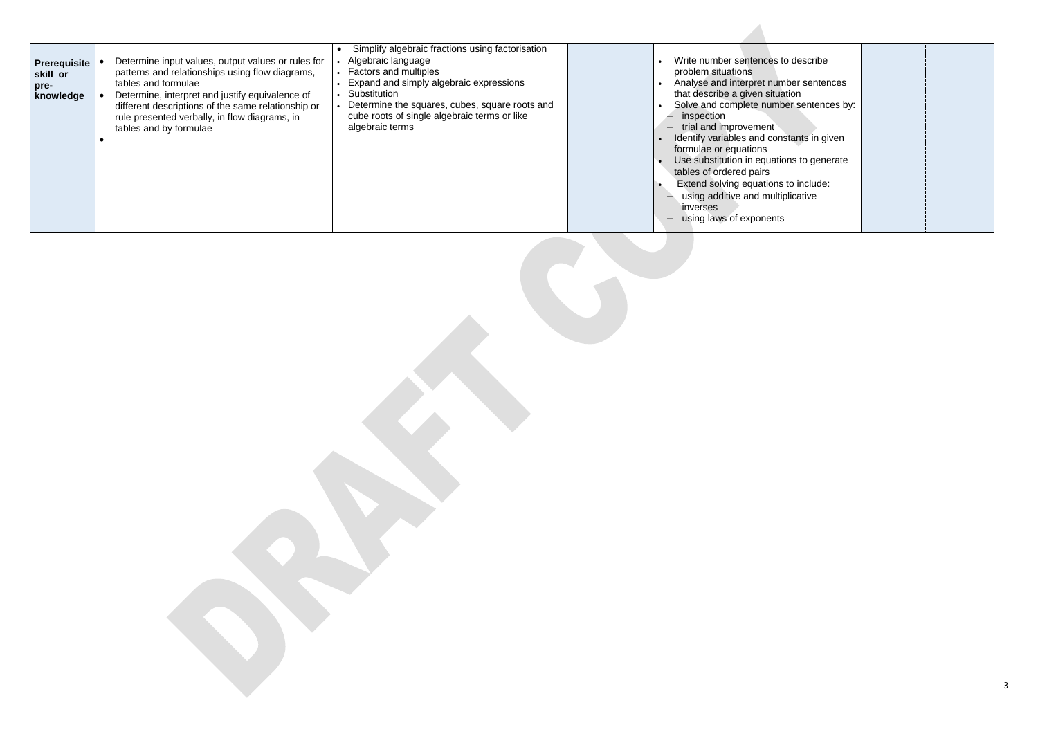|                                                      |                                                                                                                                                                                                                                                                                                                  | Simplify algebraic fractions using factorisation                                                                                                                                                                                   |                                                                                                                                                                                                                                                                                                                                                                                                                                                                                                                           |
|------------------------------------------------------|------------------------------------------------------------------------------------------------------------------------------------------------------------------------------------------------------------------------------------------------------------------------------------------------------------------|------------------------------------------------------------------------------------------------------------------------------------------------------------------------------------------------------------------------------------|---------------------------------------------------------------------------------------------------------------------------------------------------------------------------------------------------------------------------------------------------------------------------------------------------------------------------------------------------------------------------------------------------------------------------------------------------------------------------------------------------------------------------|
| <b>Prerequisite</b><br>skill or<br>pre-<br>knowledge | Determine input values, output values or rules for<br>patterns and relationships using flow diagrams,<br>tables and formulae<br>Determine, interpret and justify equivalence of<br>different descriptions of the same relationship or<br>rule presented verbally, in flow diagrams, in<br>tables and by formulae | Algebraic language<br><b>Factors and multiples</b><br>Expand and simply algebraic expressions<br>Substitution<br>Determine the squares, cubes, square roots and<br>cube roots of single algebraic terms or like<br>algebraic terms | Write number sentences to describe<br>problem situations<br>Analyse and interpret number sentences<br>that describe a given situation<br>Solve and complete number sentences by:<br>inspection<br>$-$ trial and improvement<br>Identify variables and constants in given<br>formulae or equations<br>Use substitution in equations to generate<br>tables of ordered pairs<br>Extend solving equations to include:<br>using additive and multiplicative<br>inverses<br>using laws of exponents<br>$\overline{\phantom{m}}$ |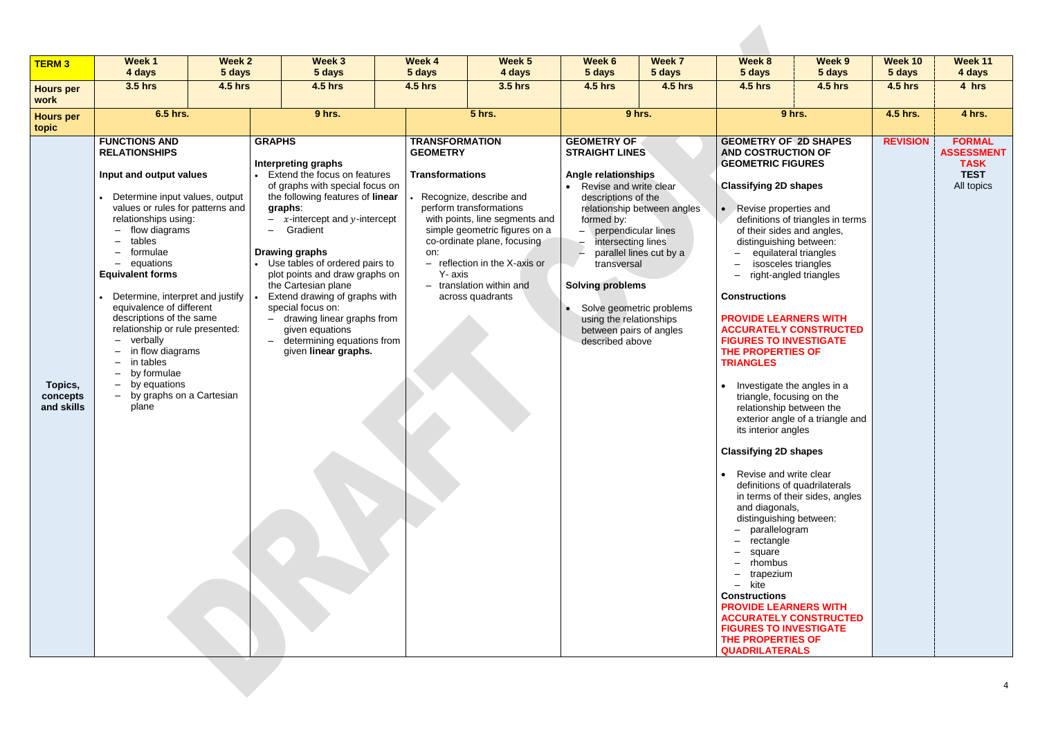| <b>TERM 3</b>                     | <b>Week1</b><br>4 days                                                                                                                                                                                                                                                                                                                                                                                                                                                                                                                                                                                                                                                                                                                                                                                                                                                                                                                                                                                                                                                                                                                                                                                                                                                                                                                                                          | <b>Week 2</b><br>5 days |  | Week 3<br>5 days | Week 4<br>5 days | Week 5<br>4 days                                                                                                                                                                                                                                                                                               | Week 6<br>5 days                                                                   | Week 7<br>5 days                                                                                                                                                                                                                                                                                                                                                                                                                                                                                                                                                                                                                                                                                                                                                            | Week 8<br>5 days                                                                                                                                                                                                                                                                                                     | Week 9<br>5 days | Week 10<br>5 days                                                              | Week 11<br>4 days |
|-----------------------------------|---------------------------------------------------------------------------------------------------------------------------------------------------------------------------------------------------------------------------------------------------------------------------------------------------------------------------------------------------------------------------------------------------------------------------------------------------------------------------------------------------------------------------------------------------------------------------------------------------------------------------------------------------------------------------------------------------------------------------------------------------------------------------------------------------------------------------------------------------------------------------------------------------------------------------------------------------------------------------------------------------------------------------------------------------------------------------------------------------------------------------------------------------------------------------------------------------------------------------------------------------------------------------------------------------------------------------------------------------------------------------------|-------------------------|--|------------------|------------------|----------------------------------------------------------------------------------------------------------------------------------------------------------------------------------------------------------------------------------------------------------------------------------------------------------------|------------------------------------------------------------------------------------|-----------------------------------------------------------------------------------------------------------------------------------------------------------------------------------------------------------------------------------------------------------------------------------------------------------------------------------------------------------------------------------------------------------------------------------------------------------------------------------------------------------------------------------------------------------------------------------------------------------------------------------------------------------------------------------------------------------------------------------------------------------------------------|----------------------------------------------------------------------------------------------------------------------------------------------------------------------------------------------------------------------------------------------------------------------------------------------------------------------|------------------|--------------------------------------------------------------------------------|-------------------|
| <b>Hours per</b><br>work          | <b>3.5 hrs</b>                                                                                                                                                                                                                                                                                                                                                                                                                                                                                                                                                                                                                                                                                                                                                                                                                                                                                                                                                                                                                                                                                                                                                                                                                                                                                                                                                                  | <b>4.5 hrs</b>          |  | <b>4.5 hrs</b>   | <b>4.5 hrs</b>   | <b>3.5 hrs</b>                                                                                                                                                                                                                                                                                                 | <b>4.5 hrs</b>                                                                     | <b>4.5 hrs</b>                                                                                                                                                                                                                                                                                                                                                                                                                                                                                                                                                                                                                                                                                                                                                              |                                                                                                                                                                                                                                                                                                                      | <b>4.5 hrs</b>   | <b>4.5 hrs</b>                                                                 | 4 hrs             |
| <b>Hours per</b><br>topic         | 6.5 hrs.                                                                                                                                                                                                                                                                                                                                                                                                                                                                                                                                                                                                                                                                                                                                                                                                                                                                                                                                                                                                                                                                                                                                                                                                                                                                                                                                                                        |                         |  | 9 hrs.           |                  | <b>5 hrs.</b>                                                                                                                                                                                                                                                                                                  |                                                                                    | 9 hrs.                                                                                                                                                                                                                                                                                                                                                                                                                                                                                                                                                                                                                                                                                                                                                                      |                                                                                                                                                                                                                                                                                                                      | 9 hrs.           | 4.5 hrs.                                                                       | 4 hrs.            |
| Topics,<br>concepts<br>and skills | <b>FUNCTIONS AND</b><br><b>GRAPHS</b><br><b>TRANSFORMATION</b><br><b>RELATIONSHIPS</b><br><b>GEOMETRY</b><br><b>Interpreting graphs</b><br>Input and output values<br>Extend the focus on features<br><b>Transformations</b><br>of graphs with special focus on<br>the following features of linear<br>Determine input values, output<br>Recognize, describe and<br>values or rules for patterns and<br>perform transformations<br>graphs:<br>$- x$ -intercept and y-intercept<br>with points, line segments and<br>relationships using:<br>Gradient<br>simple geometric figures on a<br>flow diagrams<br>$\overline{\phantom{0}}$<br>tables<br>co-ordinate plane, focusing<br>formulae<br><b>Drawing graphs</b><br>on:<br>Use tables of ordered pairs to<br>$-$ reflection in the X-axis or<br>- equations<br><b>Equivalent forms</b><br>Y- axis<br>plot points and draw graphs on<br>- translation within and<br>the Cartesian plane<br>Determine, interpret and justify<br>Extend drawing of graphs with<br>across quadrants<br>equivalence of different<br>special focus on:<br>descriptions of the same<br>- drawing linear graphs from<br>relationship or rule presented:<br>given equations<br>- verbally<br>- determining equations from<br>in flow diagrams<br>given linear graphs.<br>in tables<br>by formulae<br>by equations<br>- by graphs on a Cartesian<br>plane |                         |  |                  |                  | <b>GEOMETRY OF</b><br><b>STRAIGHT LINES</b><br><b>Angle relationships</b><br>• Revise and write clear<br>descriptions of the<br>formed by:<br>$-$ perpendicular lines<br>intersecting lines<br>transversal<br><b>Solving problems</b><br>using the relationships<br>between pairs of angles<br>described above | relationship between angles<br>parallel lines cut by a<br>Solve geometric problems | <b>GEOMETRY OF 2D SHAPES</b><br><b>AND COSTRUCTION OF</b><br><b>GEOMETRIC FIGURES</b><br><b>Classifying 2D shapes</b><br>Revise properties and<br>$\bullet$<br>of their sides and angles,<br>distinguishing between:<br><b>Constructions</b><br><b>PROVIDE LEARNERS WITH</b><br><b>FIGURES TO INVESTIGATE</b><br>THE PROPERTIES OF<br><b>TRIANGLES</b><br>triangle, focusing on the<br>relationship between the<br>its interior angles<br><b>Classifying 2D shapes</b><br>Revise and write clear<br>$\bullet$<br>and diagonals,<br>distinguishing between:<br>parallelogram<br>rectangle<br>square<br>rhombus<br>trapezium<br>- kite<br><b>Constructions</b><br><b>PROVIDE LEARNERS WITH</b><br><b>FIGURES TO INVESTIGATE</b><br>THE PROPERTIES OF<br><b>QUADRILATERALS</b> | definitions of triangles in terms<br>equilateral triangles<br>isosceles triangles<br>right-angled triangles<br><b>ACCURATELY CONSTRUCTED</b><br>Investigate the angles in a<br>exterior angle of a triangle and<br>definitions of quadrilaterals<br>in terms of their sides, angles<br><b>ACCURATELY CONSTRUCTED</b> | <b>REVISION</b>  | <b>FORMAL</b><br><b>ASSESSMENT</b><br><b>TASK</b><br><b>TEST</b><br>All topics |                   |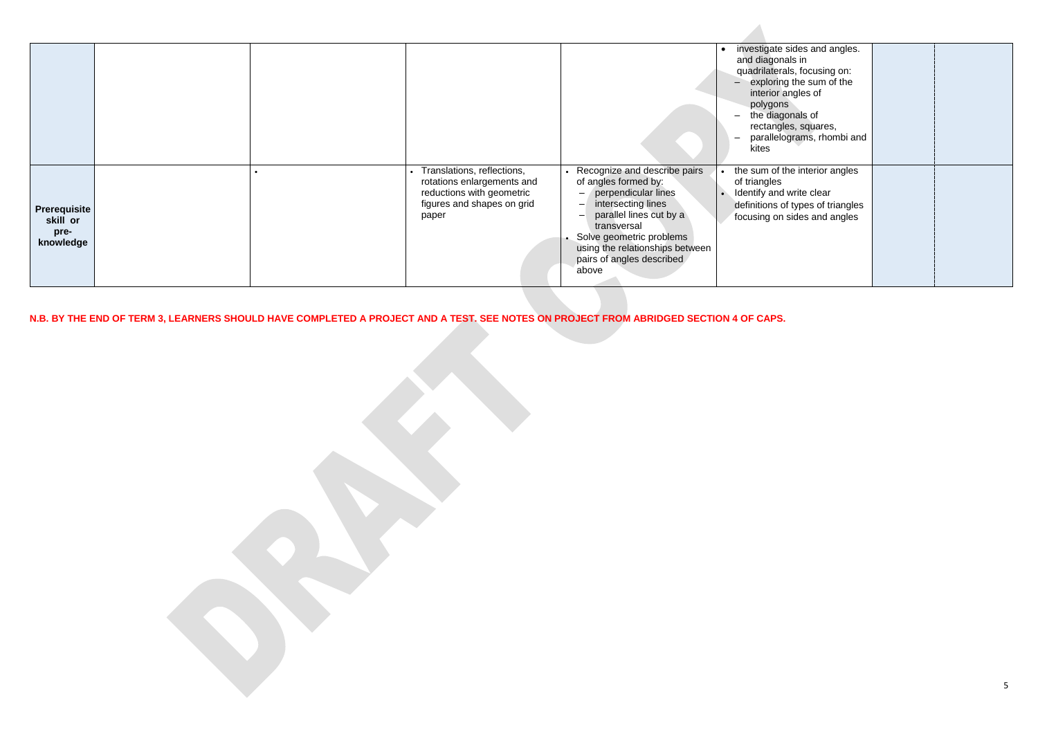|                                                      |  |                                                                                                                              |                                                                                                                                                                                                                                                    | investigate sides and a<br>and diagonals in<br>quadrilaterals, focusing<br>exploring the sum of<br>interior angles of<br>polygons<br>the diagonals of<br>rectangles, squares<br>parallelograms, rho<br>kites |
|------------------------------------------------------|--|------------------------------------------------------------------------------------------------------------------------------|----------------------------------------------------------------------------------------------------------------------------------------------------------------------------------------------------------------------------------------------------|--------------------------------------------------------------------------------------------------------------------------------------------------------------------------------------------------------------|
| <b>Prerequisite</b><br>skill or<br>pre-<br>knowledge |  | Translations, reflections,<br>rotations enlargements and<br>reductions with geometric<br>figures and shapes on grid<br>paper | Recognize and describe pairs<br>of angles formed by:<br>perpendicular lines<br>intersecting lines<br>parallel lines cut by a<br>transversal<br>• Solve geometric problems<br>using the relationships between<br>pairs of angles described<br>above | the sum of the interior a<br>of triangles<br>Identify and write clear<br>definitions of types of tr<br>focusing on sides and a                                                                               |

| investigate sides and angles.<br>and diagonals in<br>quadrilaterals, focusing on:<br>exploring the sum of the<br>interior angles of             |  |
|-------------------------------------------------------------------------------------------------------------------------------------------------|--|
| polygons<br>the diagonals of<br>rectangles, squares,<br>parallelograms, rhombi and<br>kites                                                     |  |
| the sum of the interior angles<br>of triangles<br>Identify and write clear<br>definitions of types of triangles<br>focusing on sides and angles |  |
|                                                                                                                                                 |  |

**N.B. BY THE END OF TERM 3, LEARNERS SHOULD HAVE COMPLETED A PROJECT AND A TEST. SEE NOTES ON PROJECT FROM ABRIDGED SECTION 4 OF CAPS.**